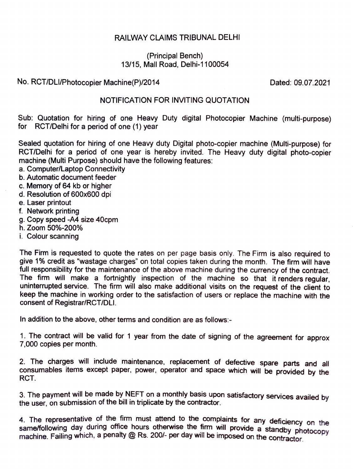## RAILWAY CLAIMS TRIBUNAL DELHI

## (Principal Bench) 13/15, Mall Road, Delhi-1100054

## No. RCT/DLI/Photocopier Machine(P)/2014 Dated: 09.07.2021

## NOTIFICATION FOR INVITING QUOTATION

Sub: Quotation for hiring of one Heavy Duty digital Photocopier Machine (multi-purpose) for RCT/Delhi for a period of one (1) year

Sealed quotation for hiring of one Heavy duty Digital photo-copier machine (Multi-purpose) for RCT/Delhi for a period of one year is hereby invited. The Heavy duty digital photo-copier machine (Multi Purpose) should have the following features:

- a. Computer/Laptop Connectivity
- b. Automatic document feeder
- c. Memory of 64 kb or higher
- d.Resolution of 600x600 dpi
- e. Laser printout
- f. Network printing
- 9.Copy speed -A4 size 40cpm
- h. Zoom 50%-200%
- i. Colour scanning

The Firm is requested to quote the rates on per page basis only. The Firm is also required to give 1% credit as "wastage charges" on total copies taken during the month. The firm will have full responsibility for the maintenance of the above machine during the currency of the contract. The fim will make a fortnightly inspection of the machine so that it renders regular, uninterrupted service. The firm will also make additional visits on the request of the client to keep the machine in working order to the satisfaction of users or replace the machine with the consent of Registrar/RCT/DLI.

In addition to the above, other terms and condition are as follows:-

1. The contract will be valid for 1 year from the date of signing of the agreement for approx 7,000 copies per month.

2. The charges will include maintenance, replacement of defective spare parts and all consumables items except paper, power, operator and space which will be provided by the RCT.

3. The payment will be made by NEFT on a monthly basis upon satisfactory services availed by the user, on submission of the bill in triplicate by the contractor.

4. The representative of the firm must attend to the complaints for any deficiency on the same/following day during office hours otherwise the firm will provide a standby photocopy machine. Failing which, a penalty @ Rs. 200/- per day will be imposed on the contractor.